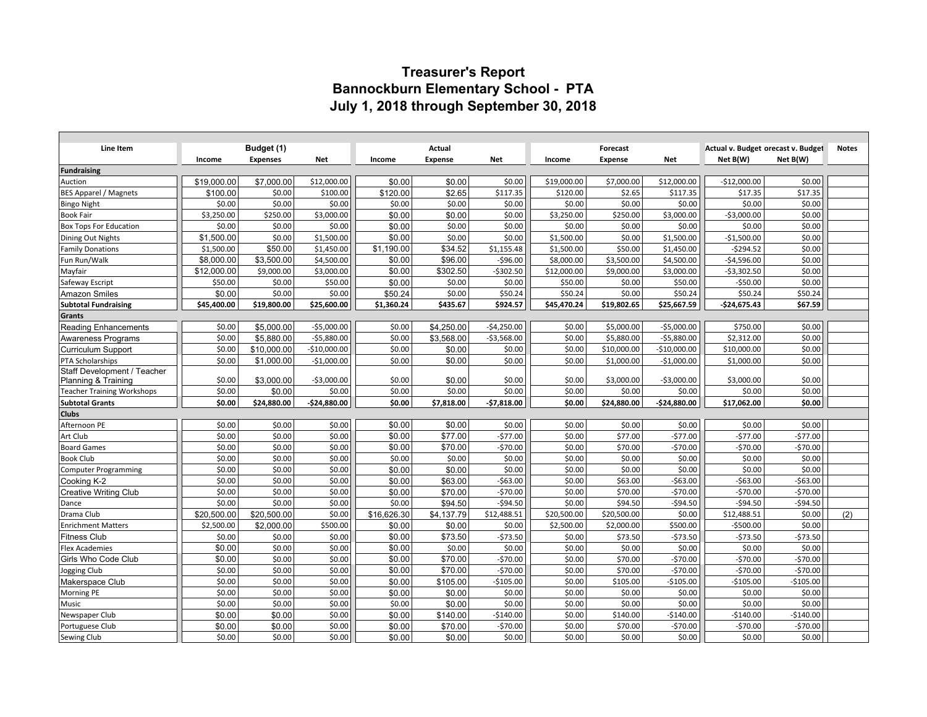## **Treasurer's Report Bannockburn Elementary School - PTA July 1, 2018 through September 30, 2018**

| Line Item                                        | Budget (1)           |                      |                    | Actual           |                   |                       | Forecast             |                       |                       | Actual v. Budget orecast v. Budget |                  | <b>Notes</b> |
|--------------------------------------------------|----------------------|----------------------|--------------------|------------------|-------------------|-----------------------|----------------------|-----------------------|-----------------------|------------------------------------|------------------|--------------|
|                                                  | Income               | <b>Expenses</b>      | Net                | Income           | <b>Expense</b>    | Net                   | Income               | <b>Expense</b>        | Net                   | Net B(W)                           | Net B(W)         |              |
| <b>Fundraising</b>                               |                      |                      |                    |                  |                   |                       |                      |                       |                       |                                    |                  |              |
| Auction                                          | \$19,000.00          | \$7,000.00           | \$12,000.00        | \$0.00           | \$0.00            | \$0.00                | \$19,000.00          | \$7,000.00            | \$12,000.00           | $-$12,000.00$                      | \$0.00           |              |
| <b>BES Apparel / Magnets</b>                     | \$100.00             | \$0.00               | \$100.00           | \$120.00         | \$2.65            | \$117.35              | \$120.00             | \$2.65                | \$117.35              | \$17.35                            | \$17.35          |              |
| <b>Bingo Night</b>                               | \$0.00               | \$0.00               | \$0.00             | \$0.00           | \$0.00            | \$0.00                | \$0.00               | \$0.00                | \$0.00                | \$0.00                             | \$0.00           |              |
| <b>Book Fair</b>                                 | \$3,250.00           | \$250.00             | \$3,000.00         | \$0.00           | \$0.00            | \$0.00                | \$3,250.00           | \$250.00              | \$3,000.00            | $-53,000.00$                       | \$0.00           |              |
| <b>Box Tops For Education</b>                    | \$0.00               | \$0.00               | \$0.00             | \$0.00           | \$0.00            | \$0.00                | \$0.00               | \$0.00                | \$0.00                | \$0.00                             | \$0.00           |              |
| Dining Out Nights                                | \$1,500.00           | \$0.00               | \$1,500.00         | \$0.00           | \$0.00            | \$0.00                | \$1,500.00           | \$0.00                | \$1,500.00            | $-$1,500.00$                       | \$0.00           |              |
| <b>Family Donations</b>                          | \$1,500.00           | \$50.00              | \$1,450.00         | \$1,190.00       | \$34.52           | \$1,155.48            | \$1,500.00           | \$50.00               | \$1,450.00            | $-5294.52$                         | \$0.00           |              |
| Fun Run/Walk                                     | \$8,000.00           | \$3,500.00           | \$4,500.00         | \$0.00           | \$96.00           | $-596.00$             | \$8,000.00           | \$3,500.00            | \$4,500.00            | $-$4,596.00$                       | \$0.00           |              |
| Mayfair                                          | \$12,000.00          | \$9,000.00           | \$3,000.00         | \$0.00           | \$302.50          | $-5302.50$            | \$12,000.00          | \$9,000.00            | \$3,000.00            | $-53,302.50$                       | \$0.00           |              |
| Safeway Escript                                  | \$50.00              | \$0.00               | \$50.00            | \$0.00           | \$0.00            | \$0.00                | \$50.00              | \$0.00                | \$50.00               | $-$ \$50.00                        | \$0.00           |              |
| <b>Amazon Smiles</b>                             | \$0.00               | \$0.00               | \$0.00             | \$50.24          | \$0.00            | \$50.24               | \$50.24              | \$0.00                | \$50.24               | \$50.24                            | \$50.24          |              |
| <b>Subtotal Fundraising</b>                      | \$45,400.00          | \$19,800.00          | \$25,600.00        | \$1,360.24       | \$435.67          | \$924.57              | \$45,470.24          | \$19,802.65           | \$25,667.59           | $-$24,675.43$                      | \$67.59          |              |
| Grants                                           |                      |                      |                    |                  |                   |                       |                      |                       |                       |                                    |                  |              |
| Reading Enhancements                             | \$0.00               | \$5,000.00           | $-$5,000.00$       | \$0.00           | \$4,250.00        | $-$4,250.00$          | \$0.00               | \$5,000.00            | $-$5,000.00$          | \$750.00                           | \$0.00           |              |
| Awareness Programs                               | \$0.00               | \$5.880.00           | $-55,880.00$       | \$0.00           | \$3,568.00        | $-$3,568.00$          | \$0.00               | \$5,880.00            | $-$5,880.00$          | \$2,312.00                         | \$0.00           |              |
| <b>Curriculum Support</b>                        | \$0.00               | \$10,000.00          | $-$10,000.00$      | \$0.00           | \$0.00            | \$0.00                | \$0.00               | \$10,000.00           | $-$10,000.00$         | \$10,000.00                        | \$0.00           |              |
| PTA Scholarships                                 | \$0.00               | \$1,000.00           | $-$1,000.00$       | \$0.00           | \$0.00            | \$0.00                | \$0.00               | \$1,000.00            | $-$1,000.00$          | \$1,000.00                         | \$0.00           |              |
| Staff Development / Teacher                      |                      |                      |                    |                  |                   |                       |                      |                       |                       |                                    |                  |              |
| Planning & Training                              | \$0.00               | \$3,000.00           | $-53,000.00$       | \$0.00           | \$0.00            | \$0.00                | \$0.00               | \$3,000.00            | $-$3,000.00$          | \$3,000.00                         | \$0.00           |              |
| <b>Teacher Training Workshops</b>                | \$0.00               | \$0.00               | \$0.00             | \$0.00           | \$0.00            | \$0.00                | \$0.00               | \$0.00                | \$0.00                | \$0.00                             | \$0.00           |              |
| <b>Subtotal Grants</b>                           | \$0.00               | \$24,880.00          | $-$24,880.00$      | \$0.00           | \$7,818.00        | $-$7,818.00$          | \$0.00               | \$24,880.00           | $-$24,880.00$         | \$17,062.00                        | \$0.00           |              |
| <b>Clubs</b>                                     |                      |                      |                    |                  |                   |                       |                      |                       |                       |                                    |                  |              |
| Afternoon PE                                     | \$0.00               | \$0.00               | \$0.00             | \$0.00           | \$0.00            | \$0.00                | \$0.00               | \$0.00                | \$0.00                | \$0.00                             | \$0.00           |              |
| Art Club                                         | \$0.00               | \$0.00               | \$0.00             | \$0.00           | \$77.00           | $-577.00$             | \$0.00               | \$77.00               | $-577.00$             | $-577.00$                          | $-577.00$        |              |
| <b>Board Games</b>                               | \$0.00               | \$0.00               | \$0.00             | \$0.00           | \$70.00           | $-570.00$             | \$0.00               | \$70.00               | $-570.00$             | $-570.00$                          | $-570.00$        |              |
| <b>Book Club</b>                                 | \$0.00               | \$0.00               | \$0.00             | \$0.00           | \$0.00            | \$0.00                | \$0.00               | \$0.00                | \$0.00                | \$0.00                             | \$0.00           |              |
| <b>Computer Programming</b>                      | \$0.00               | \$0.00               | \$0.00             | \$0.00           | \$0.00            | \$0.00                | \$0.00               | \$0.00                | \$0.00                | \$0.00                             | \$0.00           |              |
| Cooking K-2                                      | \$0.00               | \$0.00               | \$0.00             | \$0.00           | \$63.00           | $-563.00$             | \$0.00               | \$63.00               | $-563.00$             | $-563.00$                          | $-$63.00$        |              |
| Creative Writing Club                            | \$0.00               | \$0.00               | \$0.00             | \$0.00           | \$70.00           | $-570.00$             | \$0.00               | \$70.00               | $-570.00$             | $-570.00$                          | $-570.00$        |              |
| Dance                                            | \$0.00               | \$0.00               | \$0.00             | \$0.00           | \$94.50           | $-594.50$             | \$0.00               | \$94.50               | $-594.50$             | $-$ \$94.50                        | $-594.50$        |              |
| Drama Club                                       | \$20,500.00          | \$20,500.00          | \$0.00<br>\$500.00 | \$16,626.30      | \$4,137.79        | \$12,488.51<br>\$0.00 | \$20,500.00          | \$20,500.00           | \$0.00                | \$12,488.51<br>$-$500.00$          | \$0.00<br>\$0.00 | (2)          |
| <b>Enrichment Matters</b><br><b>Fitness Club</b> | \$2,500.00<br>\$0.00 | \$2,000.00<br>\$0.00 | \$0.00             | \$0.00<br>\$0.00 | \$0.00<br>\$73.50 | $-573.50$             | \$2,500.00<br>\$0.00 | \$2,000.00<br>\$73.50 | \$500.00<br>$-573.50$ | $-573.50$                          | $-573.50$        |              |
| <b>Flex Academies</b>                            | \$0.00               | \$0.00               | \$0.00             | \$0.00           | \$0.00            | \$0.00                | \$0.00               | \$0.00                | \$0.00                | \$0.00                             | \$0.00           |              |
| Girls Who Code Club                              | \$0.00               | \$0.00               | \$0.00             | \$0.00           | \$70.00           | $-570.00$             | \$0.00               | \$70.00               | $-570.00$             | $-570.00$                          | $-570.00$        |              |
| Jogging Club                                     | \$0.00               | \$0.00               | \$0.00             | \$0.00           | \$70.00           | $-570.00$             | \$0.00               | \$70.00               | $-570.00$             | $-570.00$                          | $-570.00$        |              |
| Makerspace Club                                  | \$0.00               | \$0.00               | \$0.00             | \$0.00           | \$105.00          | $-$105.00$            | \$0.00               | \$105.00              | $-$105.00$            | $-5105.00$                         | $-$105.00$       |              |
| Morning PE                                       | \$0.00               | \$0.00               | \$0.00             | \$0.00           | \$0.00            | \$0.00                | \$0.00               | \$0.00                | \$0.00                | \$0.00                             | \$0.00           |              |
| Music                                            | \$0.00               | \$0.00               | \$0.00             | \$0.00           | \$0.00            | \$0.00                | \$0.00               | \$0.00                | \$0.00                | \$0.00                             | \$0.00           |              |
| Newspaper Club                                   | \$0.00               | \$0.00               | \$0.00             | \$0.00           | \$140.00          | $-$140.00$            | \$0.00               | \$140.00              | $-$140.00$            | $-$140.00$                         | $-$140.00$       |              |
| Portuguese Club                                  | \$0.00               | \$0.00               | \$0.00             | \$0.00           | \$70.00           | $-$70.00$             | \$0.00               | \$70.00               | $-570.00$             | $-570.00$                          | $-570.00$        |              |
| Sewing Club                                      | \$0.00               | \$0.00               | \$0.00             | \$0.00           | \$0.00            | \$0.00                | \$0.00               | \$0.00                | \$0.00                | \$0.00                             | \$0.00           |              |
|                                                  |                      |                      |                    |                  |                   |                       |                      |                       |                       |                                    |                  |              |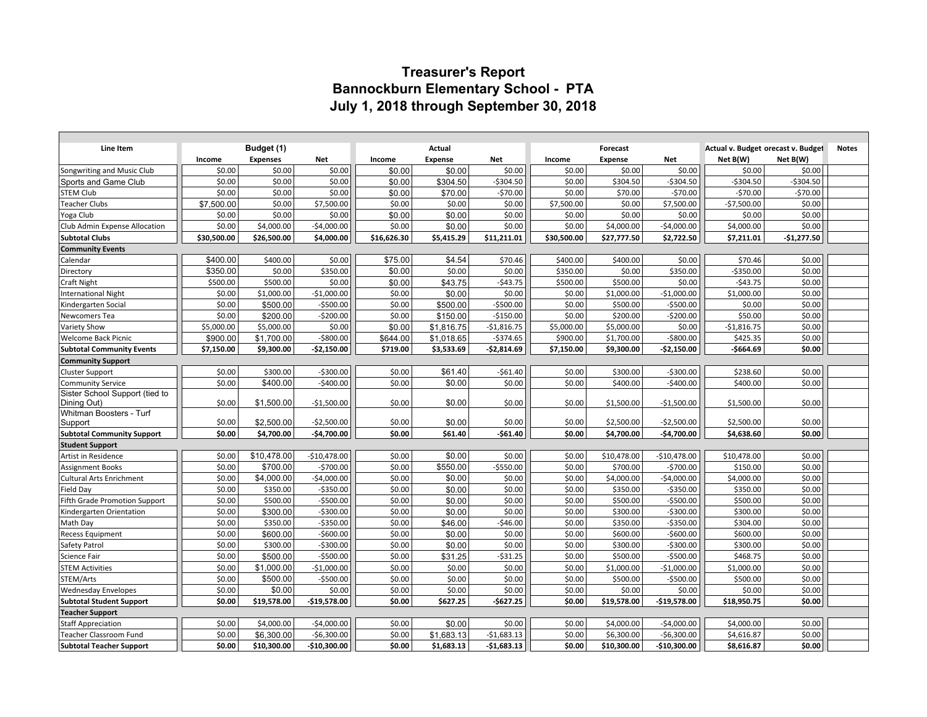## **Treasurer's Report Bannockburn Elementary School - PTA July 1, 2018 through September 30, 2018**

| Line Item                          | Budget (1)  |                 | Actual        |             |                | Forecast     |             |                | Actual v. Budget orecast v. Budget |              | <b>Notes</b> |  |
|------------------------------------|-------------|-----------------|---------------|-------------|----------------|--------------|-------------|----------------|------------------------------------|--------------|--------------|--|
|                                    | Income      | <b>Expenses</b> | Net           | Income      | <b>Expense</b> | Net          | Income      | <b>Expense</b> | Net                                | Net B(W)     | Net B(W)     |  |
| Songwriting and Music Club         | \$0.00      | \$0.00          | \$0.00        | \$0.00      | \$0.00         | \$0.00       | \$0.00      | \$0.00         | \$0.00                             | \$0.00       | \$0.00       |  |
| Sports and Game Club               | \$0.00      | \$0.00          | \$0.00        | \$0.00      | \$304.50       | $-5304.50$   | \$0.00      | \$304.50       | $-5304.50$                         | $-5304.50$   | $-5304.50$   |  |
| <b>STEM Club</b>                   | \$0.00      | \$0.00          | \$0.00        | \$0.00      | \$70.00        | $-570.00$    | \$0.00      | \$70.00        | $-570.00$                          | $-570.00$    | $-570.00$    |  |
| <b>Teacher Clubs</b>               | \$7,500.00  | \$0.00          | \$7,500.00    | \$0.00      | \$0.00         | \$0.00       | \$7,500.00  | \$0.00         | \$7,500.00                         | $-$7,500.00$ | \$0.00       |  |
| Yoga Club                          | \$0.00      | \$0.00          | \$0.00        | \$0.00      | \$0.00         | \$0.00       | \$0.00      | \$0.00         | \$0.00                             | \$0.00       | \$0.00       |  |
| Club Admin Expense Allocation      | \$0.00      | \$4,000.00      | $-$4,000.00$  | \$0.00      | \$0.00         | \$0.00       | \$0.00      | \$4,000.00     | $-$4,000.00$                       | \$4,000.00   | \$0.00       |  |
| <b>Subtotal Clubs</b>              | \$30,500.00 | \$26,500.00     | \$4,000.00    | \$16,626.30 | \$5,415.29     | \$11,211.01  | \$30,500.00 | \$27,777.50    | \$2,722.50                         | \$7,211.01   | $-$1,277.50$ |  |
| <b>Community Events</b>            |             |                 |               |             |                |              |             |                |                                    |              |              |  |
| Calendar                           | \$400.00    | \$400.00        | \$0.00        | \$75.00     | \$4.54         | \$70.46      | \$400.00    | \$400.00       | \$0.00                             | \$70.46      | \$0.00       |  |
| Directory                          | \$350.00    | \$0.00          | \$350.00      | \$0.00      | \$0.00         | \$0.00       | \$350.00    | \$0.00         | \$350.00                           | $-$ \$350.00 | \$0.00       |  |
| Craft Night                        | \$500.00    | \$500.00        | \$0.00        | \$0.00      | \$43.75        | -\$43.75     | \$500.00    | \$500.00       | \$0.00                             | $-543.75$    | \$0.00       |  |
| International Night                | \$0.00      | \$1,000.00      | $-$1,000.00$  | \$0.00      | \$0.00         | \$0.00       | \$0.00      | \$1,000.00     | $-$1,000.00$                       | \$1,000.00   | \$0.00       |  |
| Kindergarten Social                | \$0.00      | \$500.00        | $-$500.00$    | \$0.00      | \$500.00       | $-5500.00$   | \$0.00      | \$500.00       | $-$500.00$                         | \$0.00       | \$0.00       |  |
| Newcomers Tea                      | \$0.00      | \$200.00        | $-$200.00$    | \$0.00      | \$150.00       | $-$150.00$   | \$0.00      | \$200.00       | $-$200.00$                         | \$50.00      | \$0.00       |  |
| <b>Variety Show</b>                | \$5,000.00  | \$5,000.00      | \$0.00        | \$0.00      | \$1,816.75     | $-$1,816.75$ | \$5,000.00  | \$5,000.00     | \$0.00                             | $-$1,816.75$ | \$0.00       |  |
| <b>Welcome Back Picnic</b>         | \$900.00    | \$1,700.00      | $-$ \$800.00  | \$644.00    | \$1,018.65     | $-$374.65$   | \$900.00    | \$1,700.00     | $-$ \$800.00                       | \$425.35     | \$0.00       |  |
| <b>Subtotal Community Events</b>   | \$7,150.00  | \$9,300.00      | -\$2,150.00   | \$719.00    | \$3,533.69     | $-$2,814.69$ | \$7,150.00  | \$9,300.00     | $-$2,150.00$                       | $-$664.69$   | \$0.00       |  |
| <b>Community Support</b>           |             |                 |               |             |                |              |             |                |                                    |              |              |  |
| <b>Cluster Support</b>             | \$0.00      | \$300.00        | $-5300.00$    | \$0.00      | \$61.40        | $-561.40$    | \$0.00      | \$300.00       | $-5300.00$                         | \$238.60     | \$0.00       |  |
| <b>Community Service</b>           | \$0.00      | \$400.00        | $-$400.00$    | \$0.00      | \$0.00         | \$0.00       | \$0.00      | \$400.00       | $-$400.00$                         | \$400.00     | \$0.00       |  |
| Sister School Support (tied to     |             |                 |               |             |                |              |             |                |                                    |              |              |  |
| Dining Out)                        | \$0.00      | \$1,500.00      | $-$1,500.00$  | \$0.00      | \$0.00         | \$0.00       | \$0.00      | \$1,500.00     | $-$1,500.00$                       | \$1,500.00   | \$0.00       |  |
| Whitman Boosters - Turf<br>Support | \$0.00      | \$2,500.00      | $-$2,500.00$  | \$0.00      | \$0.00         | \$0.00       | \$0.00      | \$2,500.00     | $-$2,500.00$                       | \$2,500.00   | \$0.00       |  |
| <b>Subtotal Community Support</b>  | \$0.00      | \$4.700.00      | $-$4,700.00$  | \$0.00      | \$61.40        | $-561.40$    | \$0.00      | \$4,700.00     | $-$4,700.00$                       | \$4,638.60   | \$0.00       |  |
| <b>Student Support</b>             |             |                 |               |             |                |              |             |                |                                    |              |              |  |
| Artist in Residence                | \$0.00      | \$10,478.00     | $-$10,478.00$ | \$0.00      | \$0.00         | \$0.00       | \$0.00      | \$10,478.00    | $-$10,478.00$                      | \$10,478.00  | \$0.00       |  |
| <b>Assignment Books</b>            | \$0.00      | \$700.00        | $-5700.00$    | \$0.00      | \$550.00       | $-5550.00$   | \$0.00      | \$700.00       | $-5700.00$                         | \$150.00     | \$0.00       |  |
| <b>Cultural Arts Enrichment</b>    | \$0.00      | \$4,000.00      | $-$4,000.00$  | \$0.00      | \$0.00         | \$0.00       | \$0.00      | \$4,000.00     | $-$4,000.00$                       | \$4,000.00   | \$0.00       |  |
| Field Day                          | \$0.00      | \$350.00        | $-$350.00$    | \$0.00      | \$0.00         | \$0.00       | \$0.00      | \$350.00       | $-$ \$350.00                       | \$350.00     | \$0.00       |  |
| Fifth Grade Promotion Support      | \$0.00      | \$500.00        | $-$500.00$    | \$0.00      | \$0.00         | \$0.00       | \$0.00      | \$500.00       | $-$500.00$                         | \$500.00     | \$0.00       |  |
| Kindergarten Orientation           | \$0.00      | \$300.00        | $-$300.00$    | \$0.00      | \$0.00         | \$0.00       | \$0.00      | \$300.00       | $-$300.00$                         | \$300.00     | \$0.00       |  |
| Math Day                           | \$0.00      | \$350.00        | $-5350.00$    | \$0.00      | \$46.00        | $-546.00$    | \$0.00      | \$350.00       | $-5350.00$                         | \$304.00     | \$0.00       |  |
| <b>Recess Equipment</b>            | \$0.00      | \$600.00        | $-$600.00$    | \$0.00      | \$0.00         | \$0.00       | \$0.00      | \$600.00       | $-$600.00$                         | \$600.00     | \$0.00       |  |
| Safety Patrol                      | \$0.00      | \$300.00        | $-5300.00$    | \$0.00      | \$0.00         | \$0.00       | \$0.00      | \$300.00       | $-$ \$300.00                       | \$300.00     | \$0.00       |  |
| Science Fair                       | \$0.00      | \$500.00        | $-$500.00$    | \$0.00      | \$31.25        | $-531.25$    | \$0.00      | \$500.00       | $-$500.00$                         | \$468.75     | \$0.00       |  |
| <b>STEM Activities</b>             | \$0.00      | \$1,000.00      | $-$1,000.00$  | \$0.00      | \$0.00         | \$0.00       | \$0.00      | \$1,000.00     | $-$1,000.00$                       | \$1,000.00   | \$0.00       |  |
| STEM/Arts                          | \$0.00      | \$500.00        | $-$500.00$    | \$0.00      | \$0.00         | \$0.00       | \$0.00      | \$500.00       | $-$500.00$                         | \$500.00     | \$0.00       |  |
| <b>Wednesday Envelopes</b>         | \$0.00      | \$0.00          | \$0.00        | \$0.00      | \$0.00         | \$0.00       | \$0.00      | \$0.00         | \$0.00                             | \$0.00       | \$0.00       |  |
| <b>Subtotal Student Support</b>    | \$0.00      | \$19,578.00     | -\$19,578.00  | \$0.00      | \$627.25       | $-5627.25$   | \$0.00      | \$19,578.00    | $-$19,578.00$                      | \$18,950.75  | \$0.00       |  |
| <b>Teacher Support</b>             |             |                 |               |             |                |              |             |                |                                    |              |              |  |
| <b>Staff Appreciation</b>          | \$0.00      | \$4,000.00      | $-$4,000.00$  | \$0.00      | \$0.00         | \$0.00       | \$0.00      | \$4,000.00     | $-$4,000.00$                       | \$4,000.00   | \$0.00       |  |
| <b>Teacher Classroom Fund</b>      | \$0.00      | \$6,300.00      | $-$6,300.00$  | \$0.00      | \$1,683.13     | $-$1,683.13$ | \$0.00      | \$6,300.00     | $-$6,300.00$                       | \$4,616.87   | \$0.00       |  |
| <b>Subtotal Teacher Support</b>    | \$0.00      | \$10,300.00     | $-$10,300.00$ | \$0.00      | \$1,683.13     | $-$1,683.13$ | \$0.00      | \$10,300.00    | $-$10,300.00$                      | \$8,616.87   | \$0.00       |  |